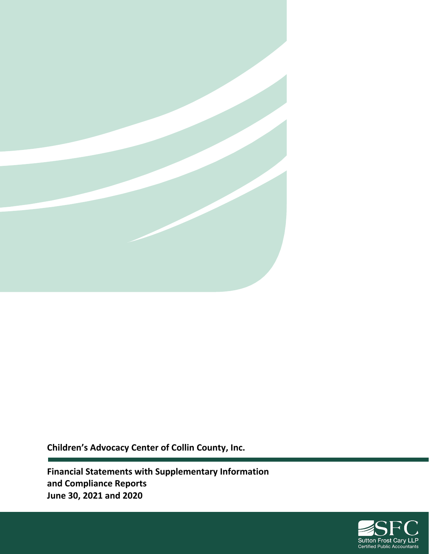

**Children's Advocacy Center of Collin County, Inc.** 

**Financial Statements with Supplementary Information and Compliance Reports June 30, 2021 and 2020** 

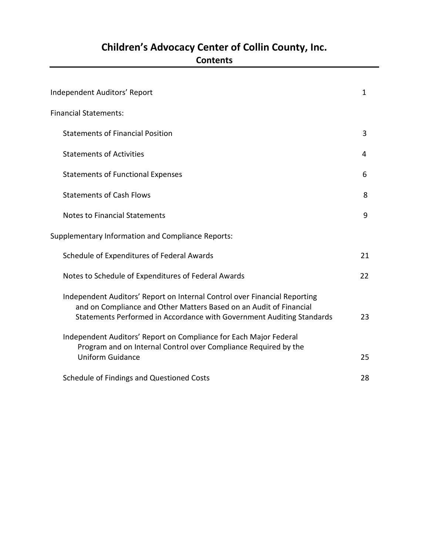# **Children's Advocacy Center of Collin County, Inc. Contents**

| Independent Auditors' Report                                                                                                                                                                                             | 1  |
|--------------------------------------------------------------------------------------------------------------------------------------------------------------------------------------------------------------------------|----|
| <b>Financial Statements:</b>                                                                                                                                                                                             |    |
| <b>Statements of Financial Position</b>                                                                                                                                                                                  | 3  |
| <b>Statements of Activities</b>                                                                                                                                                                                          | 4  |
| <b>Statements of Functional Expenses</b>                                                                                                                                                                                 | 6  |
| <b>Statements of Cash Flows</b>                                                                                                                                                                                          | 8  |
| <b>Notes to Financial Statements</b>                                                                                                                                                                                     | 9  |
| Supplementary Information and Compliance Reports:                                                                                                                                                                        |    |
| Schedule of Expenditures of Federal Awards                                                                                                                                                                               | 21 |
| Notes to Schedule of Expenditures of Federal Awards                                                                                                                                                                      | 22 |
| Independent Auditors' Report on Internal Control over Financial Reporting<br>and on Compliance and Other Matters Based on an Audit of Financial<br>Statements Performed in Accordance with Government Auditing Standards | 23 |
| Independent Auditors' Report on Compliance for Each Major Federal<br>Program and on Internal Control over Compliance Required by the<br><b>Uniform Guidance</b>                                                          | 25 |
| Schedule of Findings and Questioned Costs                                                                                                                                                                                | 28 |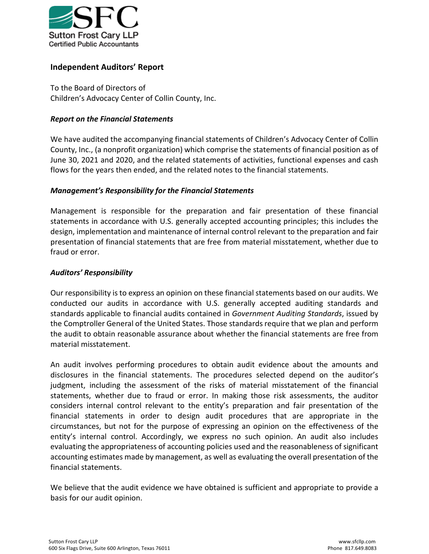

### **Independent Auditors' Report**

To the Board of Directors of Children's Advocacy Center of Collin County, Inc.

#### *Report on the Financial Statements*

We have audited the accompanying financial statements of Children's Advocacy Center of Collin County, Inc., (a nonprofit organization) which comprise the statements of financial position as of June 30, 2021 and 2020, and the related statements of activities, functional expenses and cash flows for the years then ended, and the related notes to the financial statements.

#### *Management's Responsibility for the Financial Statements*

Management is responsible for the preparation and fair presentation of these financial statements in accordance with U.S. generally accepted accounting principles; this includes the design, implementation and maintenance of internal control relevant to the preparation and fair presentation of financial statements that are free from material misstatement, whether due to fraud or error.

#### *Auditors' Responsibility*

Our responsibility is to express an opinion on these financial statements based on our audits. We conducted our audits in accordance with U.S. generally accepted auditing standards and standards applicable to financial audits contained in *Government Auditing Standards*, issued by the Comptroller General of the United States. Those standards require that we plan and perform the audit to obtain reasonable assurance about whether the financial statements are free from material misstatement.

An audit involves performing procedures to obtain audit evidence about the amounts and disclosures in the financial statements. The procedures selected depend on the auditor's judgment, including the assessment of the risks of material misstatement of the financial statements, whether due to fraud or error. In making those risk assessments, the auditor considers internal control relevant to the entity's preparation and fair presentation of the financial statements in order to design audit procedures that are appropriate in the circumstances, but not for the purpose of expressing an opinion on the effectiveness of the entity's internal control. Accordingly, we express no such opinion. An audit also includes evaluating the appropriateness of accounting policies used and the reasonableness of significant accounting estimates made by management, as well as evaluating the overall presentation of the financial statements.

We believe that the audit evidence we have obtained is sufficient and appropriate to provide a basis for our audit opinion.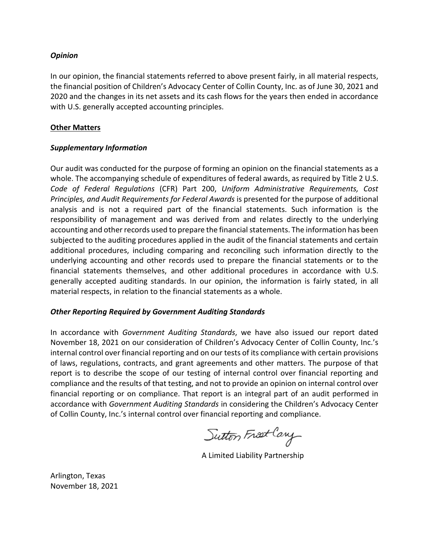#### *Opinion*

In our opinion, the financial statements referred to above present fairly, in all material respects, the financial position of Children's Advocacy Center of Collin County, Inc. as of June 30, 2021 and 2020 and the changes in its net assets and its cash flows for the years then ended in accordance with U.S. generally accepted accounting principles.

#### **Other Matters**

#### *Supplementary Information*

Our audit was conducted for the purpose of forming an opinion on the financial statements as a whole. The accompanying schedule of expenditures of federal awards, as required by Title 2 U.S. *Code of Federal Regulations* (CFR) Part 200, *Uniform Administrative Requirements, Cost Principles, and Audit Requirements for Federal Awards* is presented for the purpose of additional analysis and is not a required part of the financial statements. Such information is the responsibility of management and was derived from and relates directly to the underlying accounting and other records used to prepare the financial statements. The information has been subjected to the auditing procedures applied in the audit of the financial statements and certain additional procedures, including comparing and reconciling such information directly to the underlying accounting and other records used to prepare the financial statements or to the financial statements themselves, and other additional procedures in accordance with U.S. generally accepted auditing standards. In our opinion, the information is fairly stated, in all material respects, in relation to the financial statements as a whole.

#### *Other Reporting Required by Government Auditing Standards*

In accordance with *Government Auditing Standards*, we have also issued our report dated November 18, 2021 on our consideration of Children's Advocacy Center of Collin County, Inc.'s internal control over financial reporting and on our tests of its compliance with certain provisions of laws, regulations, contracts, and grant agreements and other matters. The purpose of that report is to describe the scope of our testing of internal control over financial reporting and compliance and the results of that testing, and not to provide an opinion on internal control over financial reporting or on compliance. That report is an integral part of an audit performed in accordance with *Government Auditing Standards* in considering the Children's Advocacy Center of Collin County, Inc.'s internal control over financial reporting and compliance.

Sutton Frost Cary

A Limited Liability Partnership

Arlington, Texas November 18, 2021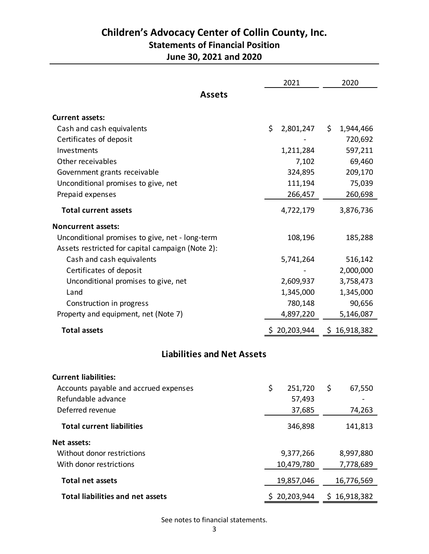# **Children's Advocacy Center of Collin County, Inc. Statements of Financial Position June 30, 2021 and 2020**

|                                                  | 2021            | 2020                        |
|--------------------------------------------------|-----------------|-----------------------------|
| <b>Assets</b>                                    |                 |                             |
| <b>Current assets:</b>                           |                 |                             |
| Cash and cash equivalents                        | \$<br>2,801,247 | \$.<br>1,944,466            |
| Certificates of deposit                          |                 | 720,692                     |
| Investments                                      | 1,211,284       | 597,211                     |
| Other receivables                                | 7,102           | 69,460                      |
| Government grants receivable                     | 324,895         | 209,170                     |
| Unconditional promises to give, net              | 111,194         | 75,039                      |
| Prepaid expenses                                 | 266,457         | 260,698                     |
| <b>Total current assets</b>                      | 4,722,179       | 3,876,736                   |
| <b>Noncurrent assets:</b>                        |                 |                             |
| Unconditional promises to give, net - long-term  | 108,196         | 185,288                     |
| Assets restricted for capital campaign (Note 2): |                 |                             |
| Cash and cash equivalents                        | 5,741,264       | 516,142                     |
| Certificates of deposit                          |                 | 2,000,000                   |
| Unconditional promises to give, net              | 2,609,937       | 3,758,473                   |
| Land                                             | 1,345,000       | 1,345,000                   |
| Construction in progress                         | 780,148         | 90,656                      |
| Property and equipment, net (Note 7)             | 4,897,220       | 5,146,087                   |
| <b>Total assets</b>                              |                 | $$20,203,944 \t$16,918,382$ |
| <b>Liabilities and Net Assets</b>                |                 |                             |
| <b>Current liabilities:</b>                      |                 |                             |
| Accounts payable and accrued expenses            | \$<br>251,720   | \$<br>67,550                |
| Refundable advance                               | 57,493          |                             |
| Deferred revenue                                 | 37,685          | 74,263                      |
| <b>Total current liabilities</b>                 | 346,898         | 141,813                     |
| Net assets:                                      |                 |                             |
| Without donor restrictions                       | 9,377,266       | 8,997,880                   |
| With donor restrictions                          | 10,479,780      | 7,778,689                   |
| <b>Total net assets</b>                          | 19,857,046      | 16,776,569                  |
| <b>Total liabilities and net assets</b>          | \$20,203,944    | \$16,918,382                |

See notes to financial statements.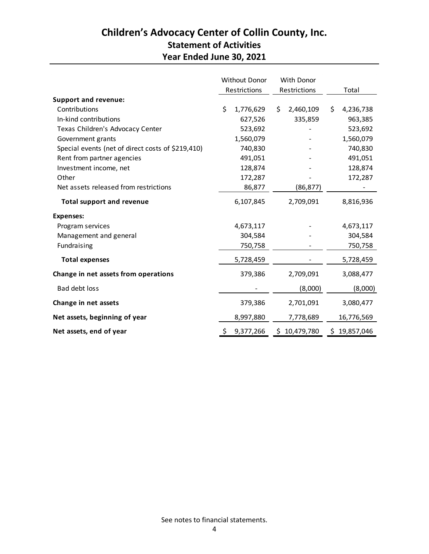# **Children's Advocacy Center of Collin County, Inc. Statement of Activities Year Ended June 30, 2021**

|                                                   | <b>Without Donor</b><br>With Donor<br>Restrictions |           |              |            |    |            |
|---------------------------------------------------|----------------------------------------------------|-----------|--------------|------------|----|------------|
|                                                   |                                                    |           | Restrictions |            |    | Total      |
| <b>Support and revenue:</b>                       |                                                    |           |              |            |    |            |
| Contributions                                     | \$                                                 | 1,776,629 | \$           | 2,460,109  | \$ | 4,236,738  |
| In-kind contributions                             |                                                    | 627,526   |              | 335,859    |    | 963,385    |
| Texas Children's Advocacy Center                  |                                                    | 523,692   |              |            |    | 523,692    |
| Government grants                                 |                                                    | 1,560,079 |              |            |    | 1,560,079  |
| Special events (net of direct costs of \$219,410) |                                                    | 740,830   |              |            |    | 740,830    |
| Rent from partner agencies                        |                                                    | 491,051   |              |            |    | 491,051    |
| Investment income, net                            |                                                    | 128,874   |              |            |    | 128,874    |
| Other                                             |                                                    | 172,287   |              |            |    | 172,287    |
| Net assets released from restrictions             |                                                    | 86,877    |              | (86, 877)  |    |            |
| <b>Total support and revenue</b>                  |                                                    | 6,107,845 |              | 2,709,091  |    | 8,816,936  |
| <b>Expenses:</b>                                  |                                                    |           |              |            |    |            |
| Program services                                  |                                                    | 4,673,117 |              |            |    | 4,673,117  |
| Management and general                            |                                                    | 304,584   |              |            |    | 304,584    |
| Fundraising                                       |                                                    | 750,758   |              |            |    | 750,758    |
| <b>Total expenses</b>                             |                                                    | 5,728,459 |              |            |    | 5,728,459  |
| Change in net assets from operations              |                                                    | 379,386   |              | 2,709,091  |    | 3,088,477  |
| Bad debt loss                                     |                                                    |           |              | (8,000)    |    | (8,000)    |
| Change in net assets                              |                                                    | 379,386   |              | 2,701,091  |    | 3,080,477  |
| Net assets, beginning of year                     |                                                    | 8,997,880 |              | 7,778,689  |    | 16,776,569 |
| Net assets, end of year                           |                                                    | 9,377,266 | S            | 10,479,780 | S  | 19,857,046 |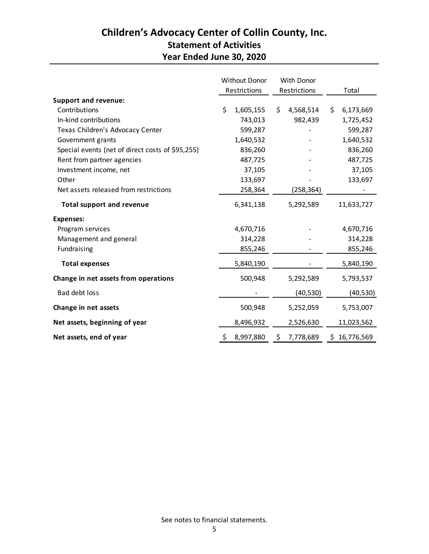# **Children's Advocacy Center of Collin County, Inc. Statement of Activities Year Ended June 30, 2020**

|                                                  | Without Donor |           | With Donor   |            |    |            |
|--------------------------------------------------|---------------|-----------|--------------|------------|----|------------|
|                                                  | Restrictions  |           | Restrictions |            |    | Total      |
| <b>Support and revenue:</b>                      |               |           |              |            |    |            |
| Contributions                                    | \$            | 1,605,155 | \$           | 4,568,514  | \$ | 6,173,669  |
| In-kind contributions                            |               | 743,013   |              | 982,439    |    | 1,725,452  |
| Texas Children's Advocacy Center                 |               | 599,287   |              |            |    | 599,287    |
| Government grants                                |               | 1,640,532 |              |            |    | 1,640,532  |
| Special events (net of direct costs of \$95,255) |               | 836,260   |              |            |    | 836,260    |
| Rent from partner agencies                       |               | 487,725   |              |            |    | 487,725    |
| Investment income, net                           |               | 37,105    |              |            |    | 37,105     |
| Other                                            |               | 133,697   |              |            |    | 133,697    |
| Net assets released from restrictions            |               | 258,364   |              | (258, 364) |    |            |
| <b>Total support and revenue</b>                 |               | 6,341,138 |              | 5,292,589  |    | 11,633,727 |
| <b>Expenses:</b>                                 |               |           |              |            |    |            |
| Program services                                 |               | 4,670,716 |              |            |    | 4,670,716  |
| Management and general                           |               | 314,228   |              |            |    | 314,228    |
| Fundraising                                      |               | 855,246   |              |            |    | 855,246    |
| <b>Total expenses</b>                            |               | 5,840,190 |              |            |    | 5,840,190  |
| Change in net assets from operations             |               | 500,948   |              | 5,292,589  |    | 5,793,537  |
| <b>Bad debt loss</b>                             |               |           |              | (40, 530)  |    | (40, 530)  |
| Change in net assets                             |               | 500,948   |              | 5,252,059  |    | 5,753,007  |
| Net assets, beginning of year                    |               | 8,496,932 |              | 2,526,630  |    | 11,023,562 |
| Net assets, end of year                          |               | 8,997,880 | \$           | 7,778,689  | \$ | 16,776,569 |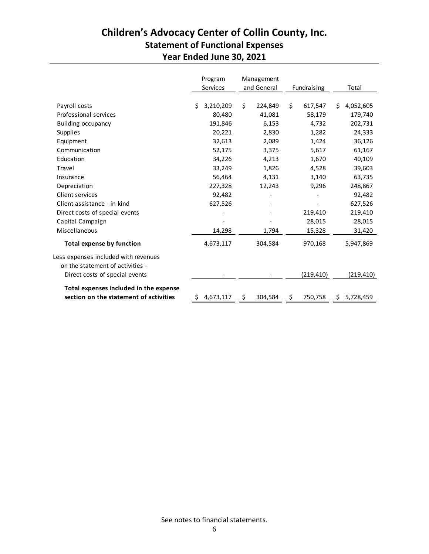# **Children's Advocacy Center of Collin County, Inc. Statement of Functional Expenses Year Ended June 30, 2021**

|                                                                                                            | Program<br><b>Services</b> | Management<br>and General | Fundraising   | Total          |
|------------------------------------------------------------------------------------------------------------|----------------------------|---------------------------|---------------|----------------|
| Payroll costs                                                                                              | 3,210,209<br>Ś.            | \$<br>224,849             | Ś.<br>617,547 | Ś<br>4,052,605 |
| Professional services                                                                                      | 80,480                     | 41,081                    | 58,179        | 179,740        |
| <b>Building occupancy</b>                                                                                  | 191,846                    | 6,153                     | 4,732         | 202,731        |
| <b>Supplies</b>                                                                                            | 20,221                     | 2,830                     | 1,282         | 24,333         |
| Equipment                                                                                                  | 32,613                     | 2,089                     | 1,424         | 36,126         |
| Communication                                                                                              | 52,175                     | 3,375                     | 5,617         | 61,167         |
| Education                                                                                                  | 34,226                     | 4,213                     | 1,670         | 40,109         |
| Travel                                                                                                     | 33,249                     | 1,826                     | 4,528         | 39,603         |
| Insurance                                                                                                  | 56,464                     | 4,131                     | 3,140         | 63,735         |
| Depreciation                                                                                               | 227,328                    | 12,243                    | 9,296         | 248,867        |
| <b>Client services</b>                                                                                     | 92,482                     |                           |               | 92,482         |
| Client assistance - in-kind                                                                                | 627,526                    |                           |               | 627,526        |
| Direct costs of special events                                                                             |                            |                           | 219,410       | 219,410        |
| Capital Campaign                                                                                           |                            |                           | 28,015        | 28,015         |
| Miscellaneous                                                                                              | 14,298                     | 1,794                     | 15,328        | 31,420         |
| <b>Total expense by function</b>                                                                           | 4,673,117                  | 304,584                   | 970,168       | 5,947,869      |
| Less expenses included with revenues<br>on the statement of activities -<br>Direct costs of special events |                            |                           | (219, 410)    | (219, 410)     |
|                                                                                                            |                            |                           |               |                |
| Total expenses included in the expense<br>section on the statement of activities                           | \$<br>4,673,117            | S<br>304,584              | 750,758<br>Ş  | \$5,728,459    |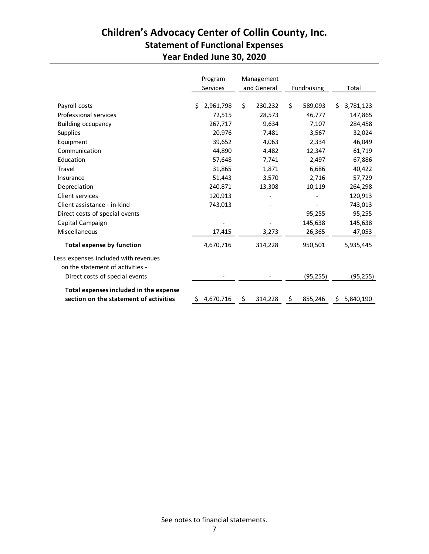# **Children's Advocacy Center of Collin County, Inc. Statement of Functional Expenses Year Ended June 30, 2020**

|                                                                                                            | Program<br>Services | Management<br>and General | Fundraising   | Total            |
|------------------------------------------------------------------------------------------------------------|---------------------|---------------------------|---------------|------------------|
| Payroll costs                                                                                              | Ś.<br>2,961,798     | \$<br>230,232             | \$<br>589,093 | Ś<br>3,781,123   |
| Professional services                                                                                      | 72,515              | 28,573                    | 46,777        | 147,865          |
| <b>Building occupancy</b>                                                                                  | 267,717             | 9,634                     | 7,107         | 284,458          |
| <b>Supplies</b>                                                                                            | 20,976              | 7,481                     | 3,567         | 32,024           |
| Equipment                                                                                                  | 39,652              | 4,063                     | 2,334         | 46,049           |
| Communication                                                                                              | 44,890              | 4,482                     | 12,347        | 61,719           |
| Education                                                                                                  | 57,648              | 7,741                     | 2,497         | 67,886           |
| Travel                                                                                                     | 31,865              | 1,871                     | 6,686         | 40,422           |
| Insurance                                                                                                  | 51,443              | 3,570                     | 2,716         | 57,729           |
| Depreciation                                                                                               | 240,871             | 13,308                    | 10,119        | 264,298          |
| <b>Client services</b>                                                                                     | 120,913             |                           |               | 120,913          |
| Client assistance - in-kind                                                                                | 743,013             |                           |               | 743,013          |
| Direct costs of special events                                                                             |                     |                           | 95,255        | 95,255           |
| Capital Campaign                                                                                           |                     |                           | 145,638       | 145,638          |
| Miscellaneous                                                                                              | 17,415              | 3,273                     | 26,365        | 47,053           |
| <b>Total expense by function</b>                                                                           | 4,670,716           | 314,228                   | 950,501       | 5,935,445        |
| Less expenses included with revenues<br>on the statement of activities -<br>Direct costs of special events |                     |                           | (95, 255)     | (95, 255)        |
| Total expenses included in the expense<br>section on the statement of activities                           | 4,670,716<br>Ş      | 314,228                   | \$<br>855,246 | 5,840,190<br>\$. |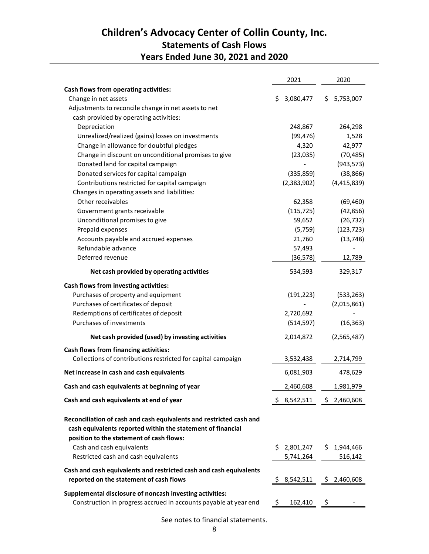# **Children's Advocacy Center of Collin County, Inc. Statements of Cash Flows Years Ended June 30, 2021 and 2020**

|                                                                                                                                                                                |     | 2021                      | 2020          |
|--------------------------------------------------------------------------------------------------------------------------------------------------------------------------------|-----|---------------------------|---------------|
| Cash flows from operating activities:                                                                                                                                          |     |                           |               |
| Change in net assets                                                                                                                                                           | \$  | 3,080,477                 | \$5,753,007   |
| Adjustments to reconcile change in net assets to net                                                                                                                           |     |                           |               |
| cash provided by operating activities:                                                                                                                                         |     |                           |               |
| Depreciation                                                                                                                                                                   |     | 248,867                   | 264,298       |
| Unrealized/realized (gains) losses on investments                                                                                                                              |     | (99, 476)                 | 1,528         |
| Change in allowance for doubtful pledges                                                                                                                                       |     | 4,320                     | 42,977        |
| Change in discount on unconditional promises to give                                                                                                                           |     | (23,035)                  | (70, 485)     |
| Donated land for capital campaign                                                                                                                                              |     |                           | (943, 573)    |
| Donated services for capital campaign                                                                                                                                          |     | (335, 859)                | (38, 866)     |
| Contributions restricted for capital campaign                                                                                                                                  |     | (2,383,902)               | (4, 415, 839) |
| Changes in operating assets and liabilities:                                                                                                                                   |     |                           |               |
| Other receivables                                                                                                                                                              |     | 62,358                    | (69, 460)     |
| Government grants receivable                                                                                                                                                   |     | (115, 725)                | (42, 856)     |
| Unconditional promises to give                                                                                                                                                 |     | 59,652                    | (26, 732)     |
| Prepaid expenses                                                                                                                                                               |     | (5,759)                   | (123, 723)    |
| Accounts payable and accrued expenses                                                                                                                                          |     | 21,760                    | (13, 748)     |
| Refundable advance                                                                                                                                                             |     | 57,493                    |               |
| Deferred revenue                                                                                                                                                               |     | (36, 578)                 | 12,789        |
| Net cash provided by operating activities                                                                                                                                      |     | 534,593                   | 329,317       |
| Cash flows from investing activities:                                                                                                                                          |     |                           |               |
| Purchases of property and equipment                                                                                                                                            |     | (191, 223)                | (533, 263)    |
| Purchases of certificates of deposit                                                                                                                                           |     |                           | (2,015,861)   |
| Redemptions of certificates of deposit                                                                                                                                         |     | 2,720,692                 |               |
| Purchases of investments                                                                                                                                                       |     | (514, 597)                | (16, 363)     |
| Net cash provided (used) by investing activities                                                                                                                               |     | 2,014,872                 | (2,565,487)   |
| <b>Cash flows from financing activities:</b>                                                                                                                                   |     |                           |               |
| Collections of contributions restricted for capital campaign                                                                                                                   |     | 3,532,438                 | 2,714,799     |
| Net increase in cash and cash equivalents                                                                                                                                      |     | 6,081,903                 | 478,629       |
| Cash and cash equivalents at beginning of year                                                                                                                                 |     | 2,460,608                 | 1,981,979     |
| Cash and cash equivalents at end of year                                                                                                                                       |     | $$8,542,511$ $$2,460,608$ |               |
| Reconciliation of cash and cash equivalents and restricted cash and<br>cash equivalents reported within the statement of financial<br>position to the statement of cash flows: |     |                           |               |
| Cash and cash equivalents                                                                                                                                                      |     | \$2,801,247               | \$1,944,466   |
| Restricted cash and cash equivalents                                                                                                                                           |     | 5,741,264                 | 516,142       |
| Cash and cash equivalents and restricted cash and cash equivalents                                                                                                             |     |                           |               |
| reported on the statement of cash flows                                                                                                                                        |     | $$8,542,511$ $$2,460,608$ |               |
| Supplemental disclosure of noncash investing activities:                                                                                                                       |     |                           |               |
| Construction in progress accrued in accounts payable at year end                                                                                                               | \$. | 162,410                   | \$            |

See notes to financial statements.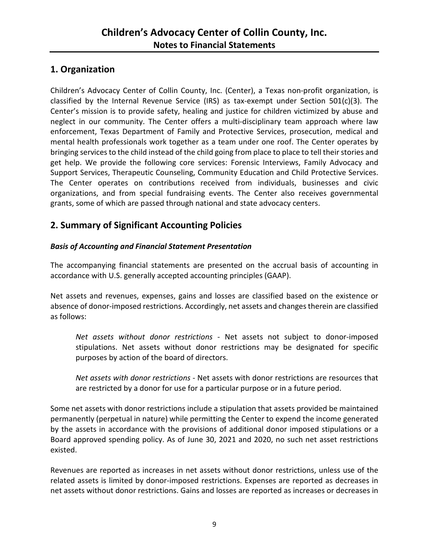## **1. Organization**

Children's Advocacy Center of Collin County, Inc. (Center), a Texas non-profit organization, is classified by the Internal Revenue Service (IRS) as tax-exempt under Section 501(c)(3). The Center's mission is to provide safety, healing and justice for children victimized by abuse and neglect in our community. The Center offers a multi-disciplinary team approach where law enforcement, Texas Department of Family and Protective Services, prosecution, medical and mental health professionals work together as a team under one roof. The Center operates by bringing services to the child instead of the child going from place to place to tell their stories and get help. We provide the following core services: Forensic Interviews, Family Advocacy and Support Services, Therapeutic Counseling, Community Education and Child Protective Services. The Center operates on contributions received from individuals, businesses and civic organizations, and from special fundraising events. The Center also receives governmental grants, some of which are passed through national and state advocacy centers.

# **2. Summary of Significant Accounting Policies**

## *Basis of Accounting and Financial Statement Presentation*

The accompanying financial statements are presented on the accrual basis of accounting in accordance with U.S. generally accepted accounting principles (GAAP).

Net assets and revenues, expenses, gains and losses are classified based on the existence or absence of donor-imposed restrictions. Accordingly, net assets and changes therein are classified as follows:

*Net assets without donor restrictions* - Net assets not subject to donor-imposed stipulations. Net assets without donor restrictions may be designated for specific purposes by action of the board of directors.

*Net assets with donor restrictions* - Net assets with donor restrictions are resources that are restricted by a donor for use for a particular purpose or in a future period.

Some net assets with donor restrictions include a stipulation that assets provided be maintained permanently (perpetual in nature) while permitting the Center to expend the income generated by the assets in accordance with the provisions of additional donor imposed stipulations or a Board approved spending policy. As of June 30, 2021 and 2020, no such net asset restrictions existed.

Revenues are reported as increases in net assets without donor restrictions, unless use of the related assets is limited by donor-imposed restrictions. Expenses are reported as decreases in net assets without donor restrictions. Gains and losses are reported as increases or decreases in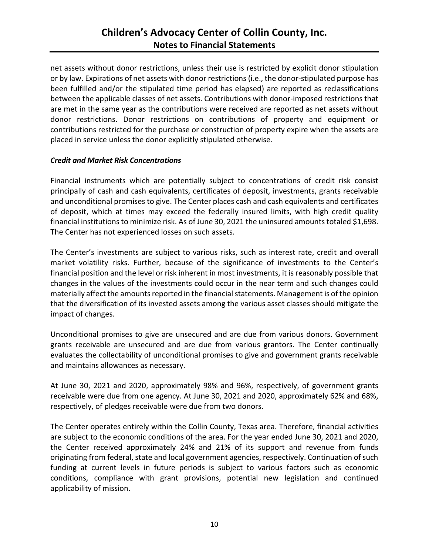# **Children's Advocacy Center of Collin County, Inc. Notes to Financial Statements**

net assets without donor restrictions, unless their use is restricted by explicit donor stipulation or by law. Expirations of net assets with donor restrictions (i.e., the donor-stipulated purpose has been fulfilled and/or the stipulated time period has elapsed) are reported as reclassifications between the applicable classes of net assets. Contributions with donor-imposed restrictions that are met in the same year as the contributions were received are reported as net assets without donor restrictions. Donor restrictions on contributions of property and equipment or contributions restricted for the purchase or construction of property expire when the assets are placed in service unless the donor explicitly stipulated otherwise.

### *Credit and Market Risk Concentrations*

Financial instruments which are potentially subject to concentrations of credit risk consist principally of cash and cash equivalents, certificates of deposit, investments, grants receivable and unconditional promises to give. The Center places cash and cash equivalents and certificates of deposit, which at times may exceed the federally insured limits, with high credit quality financial institutions to minimize risk. As of June 30, 2021 the uninsured amounts totaled \$1,698. The Center has not experienced losses on such assets.

The Center's investments are subject to various risks, such as interest rate, credit and overall market volatility risks. Further, because of the significance of investments to the Center's financial position and the level or risk inherent in most investments, it is reasonably possible that changes in the values of the investments could occur in the near term and such changes could materially affect the amounts reported in the financial statements. Management is of the opinion that the diversification of its invested assets among the various asset classes should mitigate the impact of changes.

Unconditional promises to give are unsecured and are due from various donors. Government grants receivable are unsecured and are due from various grantors. The Center continually evaluates the collectability of unconditional promises to give and government grants receivable and maintains allowances as necessary.

At June 30, 2021 and 2020, approximately 98% and 96%, respectively, of government grants receivable were due from one agency. At June 30, 2021 and 2020, approximately 62% and 68%, respectively, of pledges receivable were due from two donors.

The Center operates entirely within the Collin County, Texas area. Therefore, financial activities are subject to the economic conditions of the area. For the year ended June 30, 2021 and 2020, the Center received approximately 24% and 21% of its support and revenue from funds originating from federal, state and local government agencies, respectively. Continuation of such funding at current levels in future periods is subject to various factors such as economic conditions, compliance with grant provisions, potential new legislation and continued applicability of mission.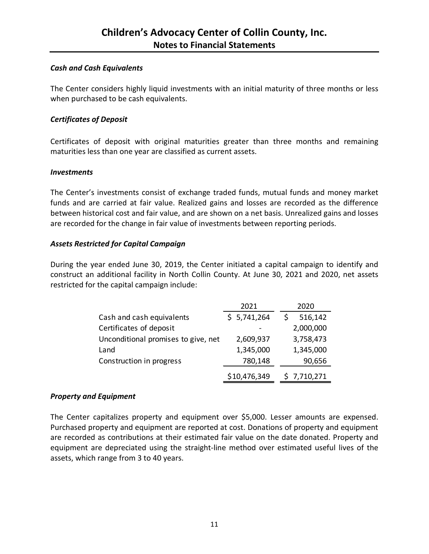#### *Cash and Cash Equivalents*

The Center considers highly liquid investments with an initial maturity of three months or less when purchased to be cash equivalents.

### *Certificates of Deposit*

Certificates of deposit with original maturities greater than three months and remaining maturities less than one year are classified as current assets.

### *Investments*

The Center's investments consist of exchange traded funds, mutual funds and money market funds and are carried at fair value. Realized gains and losses are recorded as the difference between historical cost and fair value, and are shown on a net basis. Unrealized gains and losses are recorded for the change in fair value of investments between reporting periods.

### *Assets Restricted for Capital Campaign*

During the year ended June 30, 2019, the Center initiated a capital campaign to identify and construct an additional facility in North Collin County. At June 30, 2021 and 2020, net assets restricted for the capital campaign include:

|                                     | 2021         |  | 2020        |
|-------------------------------------|--------------|--|-------------|
| Cash and cash equivalents           | \$5,741,264  |  | 516,142     |
| Certificates of deposit             |              |  | 2,000,000   |
| Unconditional promises to give, net | 2,609,937    |  | 3,758,473   |
| Land                                | 1,345,000    |  | 1,345,000   |
| Construction in progress            | 780,148      |  | 90,656      |
|                                     | \$10,476,349 |  | \$7,710,271 |

### *Property and Equipment*

The Center capitalizes property and equipment over \$5,000. Lesser amounts are expensed. Purchased property and equipment are reported at cost. Donations of property and equipment are recorded as contributions at their estimated fair value on the date donated. Property and equipment are depreciated using the straight-line method over estimated useful lives of the assets, which range from 3 to 40 years.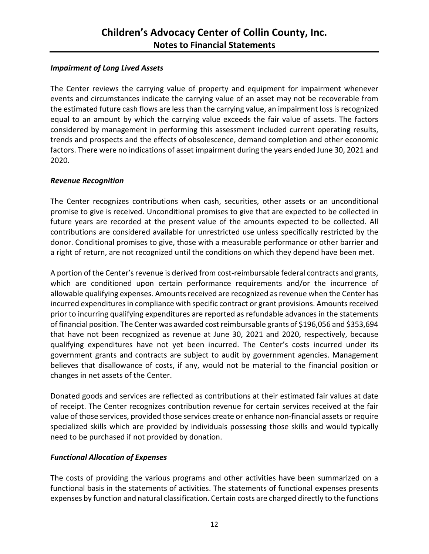### *Impairment of Long Lived Assets*

The Center reviews the carrying value of property and equipment for impairment whenever events and circumstances indicate the carrying value of an asset may not be recoverable from the estimated future cash flows are less than the carrying value, an impairment loss is recognized equal to an amount by which the carrying value exceeds the fair value of assets. The factors considered by management in performing this assessment included current operating results, trends and prospects and the effects of obsolescence, demand completion and other economic factors. There were no indications of asset impairment during the years ended June 30, 2021 and 2020.

### *Revenue Recognition*

The Center recognizes contributions when cash, securities, other assets or an unconditional promise to give is received. Unconditional promises to give that are expected to be collected in future years are recorded at the present value of the amounts expected to be collected. All contributions are considered available for unrestricted use unless specifically restricted by the donor. Conditional promises to give, those with a measurable performance or other barrier and a right of return, are not recognized until the conditions on which they depend have been met.

A portion of the Center's revenue is derived from cost-reimbursable federal contracts and grants, which are conditioned upon certain performance requirements and/or the incurrence of allowable qualifying expenses. Amounts received are recognized as revenue when the Center has incurred expenditures in compliance with specific contract or grant provisions. Amounts received prior to incurring qualifying expenditures are reported as refundable advances in the statements of financial position. The Center was awarded cost reimbursable grants of \$196,056 and \$353,694 that have not been recognized as revenue at June 30, 2021 and 2020, respectively, because qualifying expenditures have not yet been incurred. The Center's costs incurred under its government grants and contracts are subject to audit by government agencies. Management believes that disallowance of costs, if any, would not be material to the financial position or changes in net assets of the Center.

Donated goods and services are reflected as contributions at their estimated fair values at date of receipt. The Center recognizes contribution revenue for certain services received at the fair value of those services, provided those services create or enhance non-financial assets or require specialized skills which are provided by individuals possessing those skills and would typically need to be purchased if not provided by donation.

### *Functional Allocation of Expenses*

The costs of providing the various programs and other activities have been summarized on a functional basis in the statements of activities. The statements of functional expenses presents expenses by function and natural classification. Certain costs are charged directly to the functions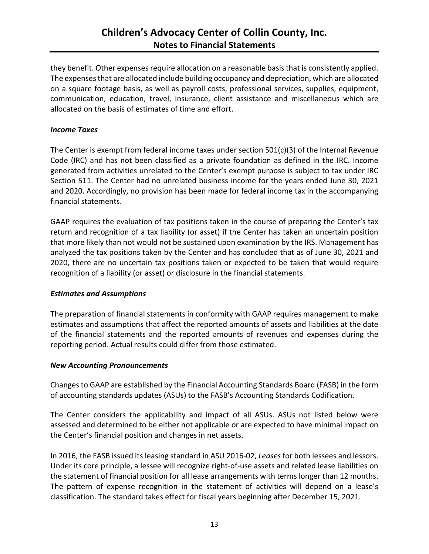# **Children's Advocacy Center of Collin County, Inc. Notes to Financial Statements**

they benefit. Other expenses require allocation on a reasonable basis that is consistently applied. The expenses that are allocated include building occupancy and depreciation, which are allocated on a square footage basis, as well as payroll costs, professional services, supplies, equipment, communication, education, travel, insurance, client assistance and miscellaneous which are allocated on the basis of estimates of time and effort.

### *Income Taxes*

The Center is exempt from federal income taxes under section 501(c)(3) of the Internal Revenue Code (IRC) and has not been classified as a private foundation as defined in the IRC. Income generated from activities unrelated to the Center's exempt purpose is subject to tax under IRC Section 511. The Center had no unrelated business income for the years ended June 30, 2021 and 2020. Accordingly, no provision has been made for federal income tax in the accompanying financial statements.

GAAP requires the evaluation of tax positions taken in the course of preparing the Center's tax return and recognition of a tax liability (or asset) if the Center has taken an uncertain position that more likely than not would not be sustained upon examination by the IRS. Management has analyzed the tax positions taken by the Center and has concluded that as of June 30, 2021 and 2020, there are no uncertain tax positions taken or expected to be taken that would require recognition of a liability (or asset) or disclosure in the financial statements.

### *Estimates and Assumptions*

The preparation of financial statements in conformity with GAAP requires management to make estimates and assumptions that affect the reported amounts of assets and liabilities at the date of the financial statements and the reported amounts of revenues and expenses during the reporting period. Actual results could differ from those estimated.

### *New Accounting Pronouncements*

Changes to GAAP are established by the Financial Accounting Standards Board (FASB) in the form of accounting standards updates (ASUs) to the FASB's Accounting Standards Codification.

The Center considers the applicability and impact of all ASUs. ASUs not listed below were assessed and determined to be either not applicable or are expected to have minimal impact on the Center's financial position and changes in net assets.

In 2016, the FASB issued its leasing standard in ASU 2016-02, *Leases* for both lessees and lessors. Under its core principle, a lessee will recognize right-of-use assets and related lease liabilities on the statement of financial position for all lease arrangements with terms longer than 12 months. The pattern of expense recognition in the statement of activities will depend on a lease's classification. The standard takes effect for fiscal years beginning after December 15, 2021.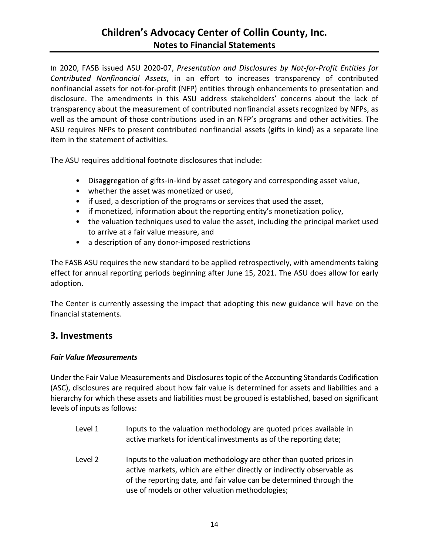# **Children's Advocacy Center of Collin County, Inc. Notes to Financial Statements**

In 2020, FASB issued ASU 2020-07, *Presentation and Disclosures by Not‐for‐Profit Entities for Contributed Nonfinancial Assets*, in an effort to increases transparency of contributed nonfinancial assets for not-for-profit (NFP) entities through enhancements to presentation and disclosure. The amendments in this ASU address stakeholders' concerns about the lack of transparency about the measurement of contributed nonfinancial assets recognized by NFPs, as well as the amount of those contributions used in an NFP's programs and other activities. The ASU requires NFPs to present contributed nonfinancial assets (gifts in kind) as a separate line item in the statement of activities.

The ASU requires additional footnote disclosures that include:

- Disaggregation of gifts-in-kind by asset category and corresponding asset value,
- whether the asset was monetized or used,
- if used, a description of the programs or services that used the asset,
- if monetized, information about the reporting entity's monetization policy,
- the valuation techniques used to value the asset, including the principal market used to arrive at a fair value measure, and
- a description of any donor-imposed restrictions

The FASB ASU requires the new standard to be applied retrospectively, with amendments taking effect for annual reporting periods beginning after June 15, 2021. The ASU does allow for early adoption.

The Center is currently assessing the impact that adopting this new guidance will have on the financial statements.

## **3. Investments**

### *Fair Value Measurements*

Under the Fair Value Measurements and Disclosures topic of the Accounting Standards Codification (ASC), disclosures are required about how fair value is determined for assets and liabilities and a hierarchy for which these assets and liabilities must be grouped is established, based on significant levels of inputs as follows:

- Level 1 Inputs to the valuation methodology are quoted prices available in active markets for identical investments as of the reporting date;
- Level 2 Inputs to the valuation methodology are other than quoted prices in active markets, which are either directly or indirectly observable as of the reporting date, and fair value can be determined through the use of models or other valuation methodologies;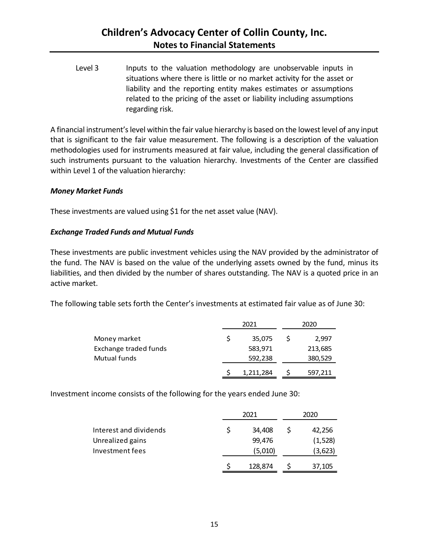Level 3 Inputs to the valuation methodology are unobservable inputs in situations where there is little or no market activity for the asset or liability and the reporting entity makes estimates or assumptions related to the pricing of the asset or liability including assumptions regarding risk.

A financial instrument's level within the fair value hierarchy is based on the lowest level of any input that is significant to the fair value measurement. The following is a description of the valuation methodologies used for instruments measured at fair value, including the general classification of such instruments pursuant to the valuation hierarchy. Investments of the Center are classified within Level 1 of the valuation hierarchy:

#### *Money Market Funds*

These investments are valued using \$1 for the net asset value (NAV).

### *Exchange Traded Funds and Mutual Funds*

These investments are public investment vehicles using the NAV provided by the administrator of the fund. The NAV is based on the value of the underlying assets owned by the fund, minus its liabilities, and then divided by the number of shares outstanding. The NAV is a quoted price in an active market.

The following table sets forth the Center's investments at estimated fair value as of June 30:

|                       | 2021      | 2020 |         |  |
|-----------------------|-----------|------|---------|--|
| Money market          | 35,075    |      | 2,997   |  |
| Exchange traded funds | 583,971   |      | 213,685 |  |
| Mutual funds          | 592,238   |      | 380,529 |  |
|                       | 1,211,284 |      | 597,211 |  |

Investment income consists of the following for the years ended June 30:

|                        |  | 2021    | 2020 |         |  |
|------------------------|--|---------|------|---------|--|
| Interest and dividends |  | 34.408  |      | 42,256  |  |
| Unrealized gains       |  | 99,476  |      | (1,528) |  |
| Investment fees        |  | (5,010) |      | (3,623) |  |
|                        |  | 128,874 |      | 37,105  |  |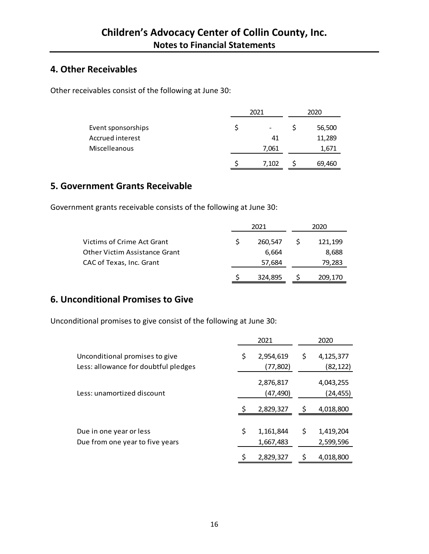## **4. Other Receivables**

Other receivables consist of the following at June 30:

|                    |   | 2021  | 2020 |        |  |
|--------------------|---|-------|------|--------|--|
| Event sponsorships | S | -     |      | 56,500 |  |
| Accrued interest   |   | 41    |      | 11,289 |  |
| Miscelleanous      |   | 7,061 |      | 1,671  |  |
|                    |   | 7,102 |      | 69,460 |  |

## **5. Government Grants Receivable**

Government grants receivable consists of the following at June 30:

|                                      | 2021    | 2020    |
|--------------------------------------|---------|---------|
| Victims of Crime Act Grant           | 260.547 | 121,199 |
| <b>Other Victim Assistance Grant</b> | 6.664   | 8,688   |
| CAC of Texas, Inc. Grant             | 57,684  | 79,283  |
|                                      | 324,895 | 209,170 |

# **6. Unconditional Promises to Give**

Unconditional promises to give consist of the following at June 30:

|                                                                        | 2021 |                        | 2020         |                        |  |
|------------------------------------------------------------------------|------|------------------------|--------------|------------------------|--|
| Unconditional promises to give<br>Less: allowance for doubtful pledges | \$   | 2,954,619<br>(77, 802) | \$           | 4,125,377<br>(82,122)  |  |
| Less: unamortized discount                                             |      | 2,876,817<br>(47, 490) |              | 4,043,255<br>(24,455)  |  |
|                                                                        |      | 2,829,327              | <sup>S</sup> | 4,018,800              |  |
| Due in one year or less<br>Due from one year to five years             | \$   | 1,161,844<br>1,667,483 | \$           | 1,419,204<br>2,599,596 |  |
|                                                                        |      | 2,829,327              | \$           | 4,018,800              |  |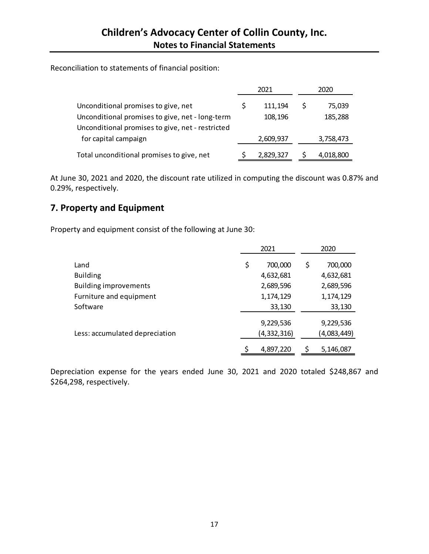Reconciliation to statements of financial position:

|                                                  | 2021 |           |   | 2020      |
|--------------------------------------------------|------|-----------|---|-----------|
| Unconditional promises to give, net              |      | 111,194   | S | 75,039    |
| Unconditional promises to give, net - long-term  |      | 108,196   |   | 185,288   |
| Unconditional promises to give, net - restricted |      |           |   |           |
| for capital campaign                             |      | 2,609,937 |   | 3,758,473 |
| Total unconditional promises to give, net        |      | 2,829,327 |   | 4,018,800 |

At June 30, 2021 and 2020, the discount rate utilized in computing the discount was 0.87% and 0.29%, respectively.

## **7. Property and Equipment**

Property and equipment consist of the following at June 30:

|                                | 2021 |                          |    | 2020                     |
|--------------------------------|------|--------------------------|----|--------------------------|
| Land                           | \$   | 700,000                  | \$ | 700,000                  |
| <b>Building</b>                |      | 4,632,681                |    | 4,632,681                |
| <b>Building improvements</b>   |      | 2,689,596                |    | 2,689,596                |
| Furniture and equipment        |      | 1,174,129                |    | 1,174,129                |
| Software                       |      | 33,130                   |    | 33,130                   |
| Less: accumulated depreciation |      | 9,229,536<br>(4,332,316) |    | 9,229,536<br>(4,083,449) |
|                                |      | 4,897,220                | S. | 5,146,087                |

Depreciation expense for the years ended June 30, 2021 and 2020 totaled \$248,867 and \$264,298, respectively.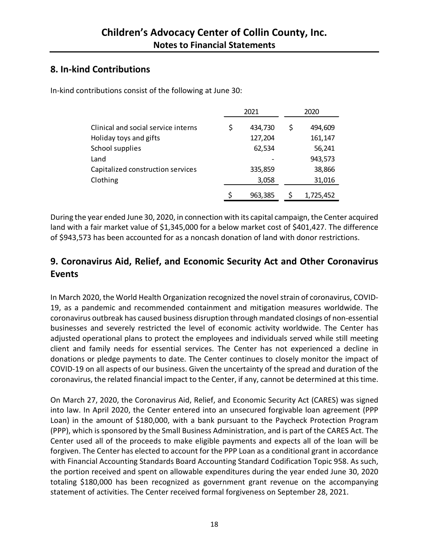## **8. In-kind Contributions**

In-kind contributions consist of the following at June 30:

|                                                                                  | 2021 |                              | 2020                               |
|----------------------------------------------------------------------------------|------|------------------------------|------------------------------------|
| Clinical and social service interns<br>Holiday toys and gifts<br>School supplies | \$   | 434,730<br>127,204<br>62,534 | \$<br>494,609<br>161,147<br>56,241 |
| Land                                                                             |      |                              | 943,573                            |
| Capitalized construction services                                                |      | 335,859                      | 38,866                             |
| Clothing                                                                         |      | 3,058                        | 31,016                             |
|                                                                                  | ς    | 963,385                      | 1,725,452                          |

During the year ended June 30, 2020, in connection with its capital campaign, the Center acquired land with a fair market value of \$1,345,000 for a below market cost of \$401,427. The difference of \$943,573 has been accounted for as a noncash donation of land with donor restrictions.

# **9. Coronavirus Aid, Relief, and Economic Security Act and Other Coronavirus Events**

In March 2020, the World Health Organization recognized the novel strain of coronavirus, COVID-19, as a pandemic and recommended containment and mitigation measures worldwide. The coronavirus outbreak has caused business disruption through mandated closings of non-essential businesses and severely restricted the level of economic activity worldwide. The Center has adjusted operational plans to protect the employees and individuals served while still meeting client and family needs for essential services. The Center has not experienced a decline in donations or pledge payments to date. The Center continues to closely monitor the impact of COVID-19 on all aspects of our business. Given the uncertainty of the spread and duration of the coronavirus, the related financial impact to the Center, if any, cannot be determined at this time.

On March 27, 2020, the Coronavirus Aid, Relief, and Economic Security Act (CARES) was signed into law. In April 2020, the Center entered into an unsecured forgivable loan agreement (PPP Loan) in the amount of \$180,000, with a bank pursuant to the Paycheck Protection Program (PPP), which is sponsored by the Small Business Administration, and is part of the CARES Act. The Center used all of the proceeds to make eligible payments and expects all of the loan will be forgiven. The Center has elected to account for the PPP Loan as a conditional grant in accordance with Financial Accounting Standards Board Accounting Standard Codification Topic 958. As such, the portion received and spent on allowable expenditures during the year ended June 30, 2020 totaling \$180,000 has been recognized as government grant revenue on the accompanying statement of activities. The Center received formal forgiveness on September 28, 2021.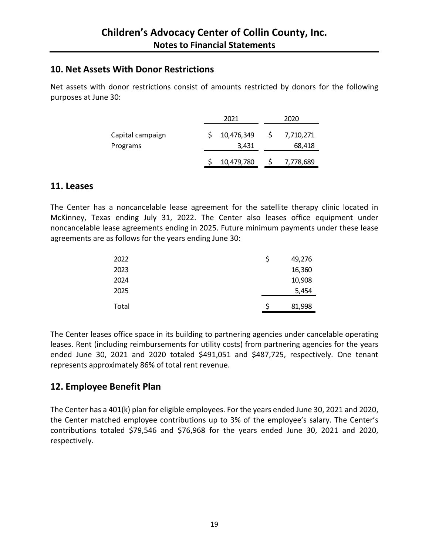## **10. Net Assets With Donor Restrictions**

Net assets with donor restrictions consist of amounts restricted by donors for the following purposes at June 30:

|            | $\mathsf{S}$ | 7,710,271 |
|------------|--------------|-----------|
| 3,431      |              | 68,418    |
| 10,479,780 |              | 7,778,689 |
|            | 10,476,349   |           |

## **11. Leases**

The Center has a noncancelable lease agreement for the satellite therapy clinic located in McKinney, Texas ending July 31, 2022. The Center also leases office equipment under noncancelable lease agreements ending in 2025. Future minimum payments under these lease agreements are as follows for the years ending June 30:

| 2022  | \$ | 49,276 |
|-------|----|--------|
| 2023  |    | 16,360 |
| 2024  |    | 10,908 |
| 2025  |    | 5,454  |
| Total | Ş  | 81,998 |

The Center leases office space in its building to partnering agencies under cancelable operating leases. Rent (including reimbursements for utility costs) from partnering agencies for the years ended June 30, 2021 and 2020 totaled \$491,051 and \$487,725, respectively. One tenant represents approximately 86% of total rent revenue.

## **12. Employee Benefit Plan**

The Center has a 401(k) plan for eligible employees. For the years ended June 30, 2021 and 2020, the Center matched employee contributions up to 3% of the employee's salary. The Center's contributions totaled \$79,546 and \$76,968 for the years ended June 30, 2021 and 2020, respectively.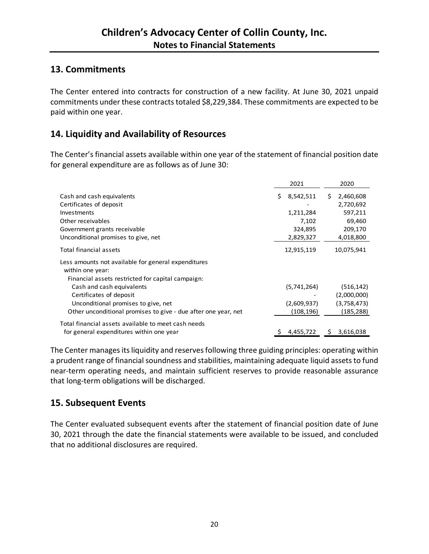## **13. Commitments**

The Center entered into contracts for construction of a new facility. At June 30, 2021 unpaid commitments under these contracts totaled \$8,229,384. These commitments are expected to be paid within one year.

## **14. Liquidity and Availability of Resources**

The Center's financial assets available within one year of the statement of financial position date for general expenditure are as follows as of June 30:

|                                                                                                                              |    | 2021        |    | 2020        |
|------------------------------------------------------------------------------------------------------------------------------|----|-------------|----|-------------|
| Cash and cash equivalents                                                                                                    | Ś. | 8,542,511   | S. | 2,460,608   |
| Certificates of deposit                                                                                                      |    |             |    | 2,720,692   |
| Investments                                                                                                                  |    | 1,211,284   |    | 597,211     |
| Other receivables                                                                                                            |    | 7,102       |    | 69,460      |
| Government grants receivable                                                                                                 |    | 324,895     |    | 209,170     |
| Unconditional promises to give, net                                                                                          |    | 2,829,327   |    | 4,018,800   |
| Total financial assets                                                                                                       |    | 12,915,119  |    | 10,075,941  |
| Less amounts not available for general expenditures<br>within one year:<br>Financial assets restricted for capital campaign: |    |             |    |             |
| Cash and cash equivalents                                                                                                    |    | (5,741,264) |    | (516,142)   |
| Certificates of deposit                                                                                                      |    |             |    | (2,000,000) |
| Unconditional promises to give, net                                                                                          |    | (2,609,937) |    | (3,758,473) |
| Other unconditional promises to give - due after one year, net                                                               |    | (108,196)   |    | (185,288)   |
| Total financial assets available to meet cash needs                                                                          |    |             |    |             |
| for general expenditures within one year                                                                                     |    | 4,455,722   | S  | 3,616,038   |

The Center manages its liquidity and reserves following three guiding principles: operating within a prudent range of financial soundness and stabilities, maintaining adequate liquid assets to fund near-term operating needs, and maintain sufficient reserves to provide reasonable assurance that long-term obligations will be discharged.

## **15. Subsequent Events**

The Center evaluated subsequent events after the statement of financial position date of June 30, 2021 through the date the financial statements were available to be issued, and concluded that no additional disclosures are required.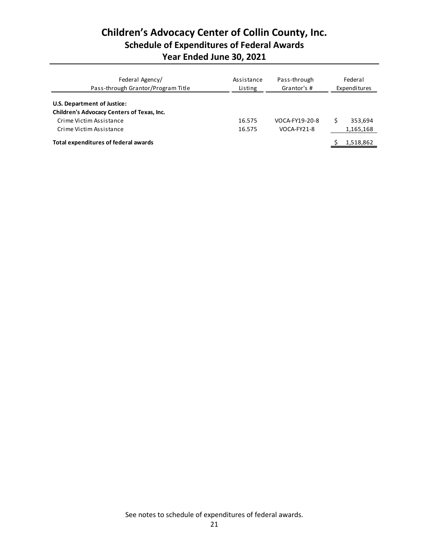# **Children's Advocacy Center of Collin County, Inc. Schedule of Expenditures of Federal Awards Year Ended June 30, 2021**

| Federal Agency/<br>Pass-through Grantor/Program Title                                                                                  | Assistance<br>Listing | Pass-through<br>Grantor's #   | Federal<br>Expenditures |                      |
|----------------------------------------------------------------------------------------------------------------------------------------|-----------------------|-------------------------------|-------------------------|----------------------|
| U.S. Department of Justice:<br><b>Children's Advocacy Centers of Texas, Inc.</b><br>Crime Victim Assistance<br>Crime Victim Assistance | 16.575<br>16.575      | VOCA-FY19-20-8<br>VOCA-FY21-8 |                         | 353,694<br>1,165,168 |
| Total expenditures of federal awards                                                                                                   |                       |                               |                         | 1,518,862            |

See notes to schedule of expenditures of federal awards.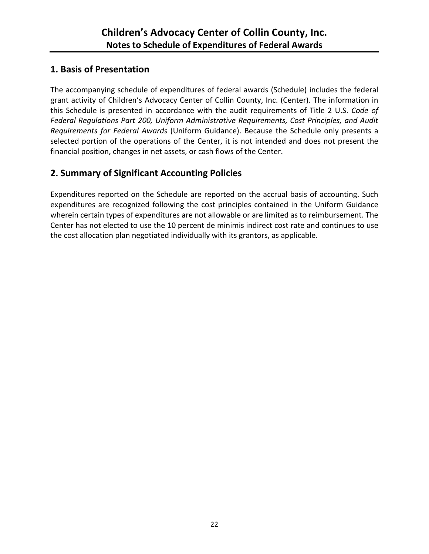## **1. Basis of Presentation**

The accompanying schedule of expenditures of federal awards (Schedule) includes the federal grant activity of Children's Advocacy Center of Collin County, Inc. (Center). The information in this Schedule is presented in accordance with the audit requirements of Title 2 U.S. *Code of Federal Regulations Part 200, Uniform Administrative Requirements, Cost Principles, and Audit Requirements for Federal Awards* (Uniform Guidance). Because the Schedule only presents a selected portion of the operations of the Center, it is not intended and does not present the financial position, changes in net assets, or cash flows of the Center.

# **2. Summary of Significant Accounting Policies**

Expenditures reported on the Schedule are reported on the accrual basis of accounting. Such expenditures are recognized following the cost principles contained in the Uniform Guidance wherein certain types of expenditures are not allowable or are limited as to reimbursement. The Center has not elected to use the 10 percent de minimis indirect cost rate and continues to use the cost allocation plan negotiated individually with its grantors, as applicable.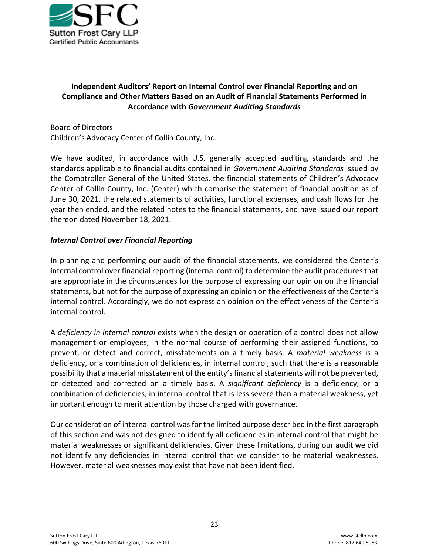

### **Independent Auditors' Report on Internal Control over Financial Reporting and on Compliance and Other Matters Based on an Audit of Financial Statements Performed in Accordance with** *Government Auditing Standards*

Board of Directors Children's Advocacy Center of Collin County, Inc.

We have audited, in accordance with U.S. generally accepted auditing standards and the standards applicable to financial audits contained in *Government Auditing Standards* issued by the Comptroller General of the United States, the financial statements of Children's Advocacy Center of Collin County, Inc. (Center) which comprise the statement of financial position as of June 30, 2021, the related statements of activities, functional expenses, and cash flows for the year then ended, and the related notes to the financial statements, and have issued our report thereon dated November 18, 2021.

### *Internal Control over Financial Reporting*

In planning and performing our audit of the financial statements, we considered the Center's internal control over financial reporting (internal control) to determine the audit procedures that are appropriate in the circumstances for the purpose of expressing our opinion on the financial statements, but not for the purpose of expressing an opinion on the effectiveness of the Center's internal control. Accordingly, we do not express an opinion on the effectiveness of the Center's internal control.

A *deficiency in internal control* exists when the design or operation of a control does not allow management or employees, in the normal course of performing their assigned functions, to prevent, or detect and correct, misstatements on a timely basis. A *material weakness* is a deficiency, or a combination of deficiencies, in internal control, such that there is a reasonable possibility that a material misstatement of the entity'sfinancial statements will not be prevented, or detected and corrected on a timely basis. A *significant deficiency* is a deficiency, or a combination of deficiencies, in internal control that is less severe than a material weakness, yet important enough to merit attention by those charged with governance.

Our consideration of internal control was for the limited purpose described in the first paragraph of this section and was not designed to identify all deficiencies in internal control that might be material weaknesses or significant deficiencies. Given these limitations, during our audit we did not identify any deficiencies in internal control that we consider to be material weaknesses. However, material weaknesses may exist that have not been identified.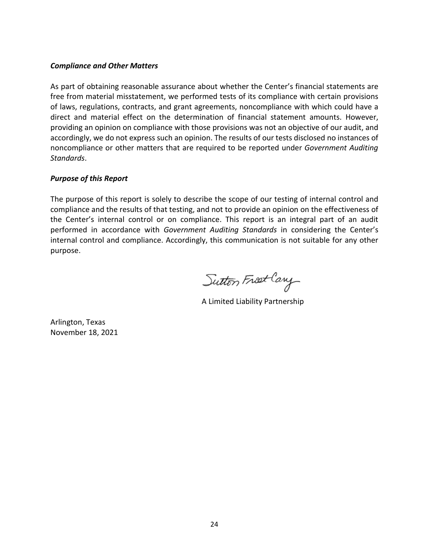#### *Compliance and Other Matters*

As part of obtaining reasonable assurance about whether the Center's financial statements are free from material misstatement, we performed tests of its compliance with certain provisions of laws, regulations, contracts, and grant agreements, noncompliance with which could have a direct and material effect on the determination of financial statement amounts. However, providing an opinion on compliance with those provisions was not an objective of our audit, and accordingly, we do not express such an opinion. The results of our tests disclosed no instances of noncompliance or other matters that are required to be reported under *Government Auditing Standards*.

#### *Purpose of this Report*

The purpose of this report is solely to describe the scope of our testing of internal control and compliance and the results of that testing, and not to provide an opinion on the effectiveness of the Center's internal control or on compliance. This report is an integral part of an audit performed in accordance with *Government Auditing Standards* in considering the Center's internal control and compliance. Accordingly, this communication is not suitable for any other purpose.

Sutton Frost Cary

A Limited Liability Partnership

Arlington, Texas November 18, 2021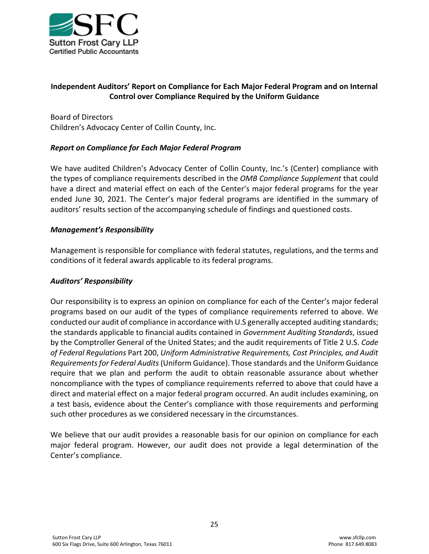

### **Independent Auditors' Report on Compliance for Each Major Federal Program and on Internal Control over Compliance Required by the Uniform Guidance**

Board of Directors Children's Advocacy Center of Collin County, Inc.

### *Report on Compliance for Each Major Federal Program*

We have audited Children's Advocacy Center of Collin County, Inc.'s (Center) compliance with the types of compliance requirements described in the *OMB Compliance Supplement* that could have a direct and material effect on each of the Center's major federal programs for the year ended June 30, 2021. The Center's major federal programs are identified in the summary of auditors' results section of the accompanying schedule of findings and questioned costs.

### *Management's Responsibility*

Management is responsible for compliance with federal statutes, regulations, and the terms and conditions of it federal awards applicable to its federal programs.

#### *Auditors' Responsibility*

Our responsibility is to express an opinion on compliance for each of the Center's major federal programs based on our audit of the types of compliance requirements referred to above. We conducted our audit of compliance in accordance with U.S generally accepted auditing standards; the standards applicable to financial audits contained in *Government Auditing Standards*, issued by the Comptroller General of the United States; and the audit requirements of Title 2 U.S. *Code of Federal Regulations* Part 200, *Uniform Administrative Requirements, Cost Principles, and Audit Requirements for Federal Audits* (Uniform Guidance). Those standards and the Uniform Guidance require that we plan and perform the audit to obtain reasonable assurance about whether noncompliance with the types of compliance requirements referred to above that could have a direct and material effect on a major federal program occurred. An audit includes examining, on a test basis, evidence about the Center's compliance with those requirements and performing such other procedures as we considered necessary in the circumstances.

We believe that our audit provides a reasonable basis for our opinion on compliance for each major federal program. However, our audit does not provide a legal determination of the Center's compliance.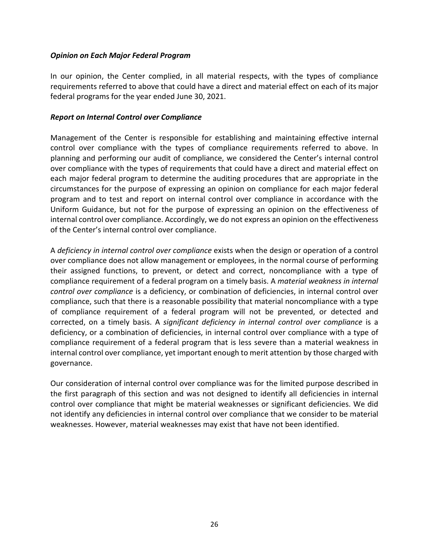#### *Opinion on Each Major Federal Program*

In our opinion, the Center complied, in all material respects, with the types of compliance requirements referred to above that could have a direct and material effect on each of its major federal programs for the year ended June 30, 2021.

#### *Report on Internal Control over Compliance*

Management of the Center is responsible for establishing and maintaining effective internal control over compliance with the types of compliance requirements referred to above. In planning and performing our audit of compliance, we considered the Center's internal control over compliance with the types of requirements that could have a direct and material effect on each major federal program to determine the auditing procedures that are appropriate in the circumstances for the purpose of expressing an opinion on compliance for each major federal program and to test and report on internal control over compliance in accordance with the Uniform Guidance, but not for the purpose of expressing an opinion on the effectiveness of internal control over compliance. Accordingly, we do not express an opinion on the effectiveness of the Center's internal control over compliance.

A *deficiency in internal control over compliance* exists when the design or operation of a control over compliance does not allow management or employees, in the normal course of performing their assigned functions, to prevent, or detect and correct, noncompliance with a type of compliance requirement of a federal program on a timely basis. A *material weakness in internal control over compliance* is a deficiency, or combination of deficiencies, in internal control over compliance, such that there is a reasonable possibility that material noncompliance with a type of compliance requirement of a federal program will not be prevented, or detected and corrected, on a timely basis. A *significant deficiency in internal control over compliance* is a deficiency, or a combination of deficiencies, in internal control over compliance with a type of compliance requirement of a federal program that is less severe than a material weakness in internal control over compliance, yet important enough to merit attention by those charged with governance.

Our consideration of internal control over compliance was for the limited purpose described in the first paragraph of this section and was not designed to identify all deficiencies in internal control over compliance that might be material weaknesses or significant deficiencies. We did not identify any deficiencies in internal control over compliance that we consider to be material weaknesses. However, material weaknesses may exist that have not been identified.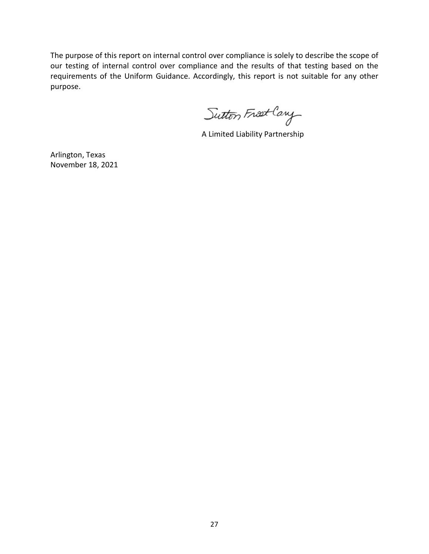The purpose of this report on internal control over compliance is solely to describe the scope of our testing of internal control over compliance and the results of that testing based on the requirements of the Uniform Guidance. Accordingly, this report is not suitable for any other purpose.

Sutton Frost Cary

A Limited Liability Partnership

Arlington, Texas November 18, 2021